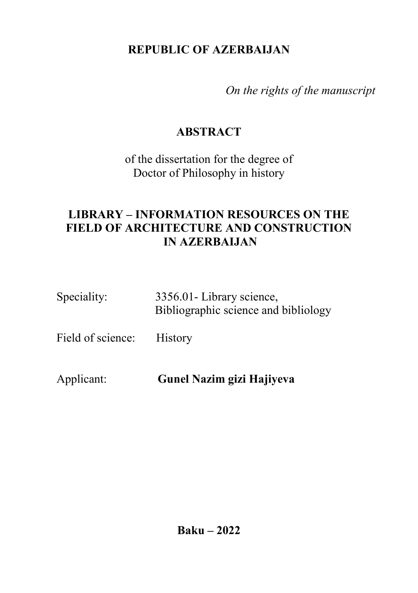## **REPUBLIC OF AZERBAIJAN**

*On the rights of the manuscript* 

## **ABSTRACT**

of the dissertation for the degree of Doctor of Philosophy in history

## **LIBRARY – INFORMATION RESOURCES ON THE FIELD OF ARCHITECTURE AND CONSTRUCTION IN AZERBAIJAN**

| Speciality:       | 3356.01- Library science,<br>Bibliographic science and bibliology |
|-------------------|-------------------------------------------------------------------|
| Field of science: | <b>History</b>                                                    |
|                   |                                                                   |

Applicant: **Gunel Nazim gizi Hajiyeva**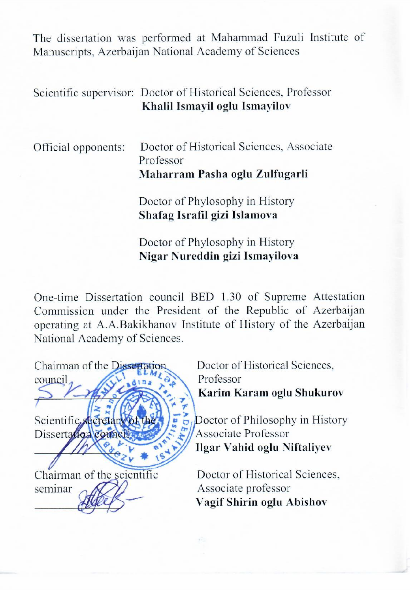The dissertation was performed at Mahammad Fuzuli Institute of Manuscripts, Azerbaijan National Academy of Sciences

#### Scientific supervisor: Doctor of Historical Sciences, Professor Khalil Ismayil oglu Ismayilov

| Official opponents: | Doctor of Historical Sciences, Associate |
|---------------------|------------------------------------------|
|                     | Professor                                |
|                     | Maharram Pasha oglu Zulfugarli           |
|                     | Doctor of Phylosophy in History          |
|                     | Shafag Israfil gizi Islamova             |
|                     | Doctor of Phylosophy in History          |

One-time Dissertation council BED 1.30 of Supreme Attestation Commission under the President of the Republic of Azerbaijan operating at A.A.Bakikhanov Institute of History of the Azerbaijan National Academy of Sciences.

Nigar Nureddin gizi Ismayilova

Chairman of the Dissertation  $\text{council}_\text{A}$   $\left(\begin{array}{cc} 1 & 0 \\ 0 & 0 \end{array}\right)$  Professor  $\mathbb{R}$   $\mathbb{R}$  (12)  $\mathbb{R}$  (12)  $\mathbb{R}$ Scientific, secret  $Disserta$  comelly  $\leq$   $\frac{1}{2}$  Associate Professor **Lives Of the United States of the United States of the United States of the United States of the United States** seminar  $\sim$   $\sqrt{2\pi}$  Associate professor **L** 

Doctor of Historical Sciences. Karim Karam oglu Shukurov

Doctor of Philosophy in History **Ilgar Vahid oglu Niftaliyev** 

Vagif Shirin oglu Abishov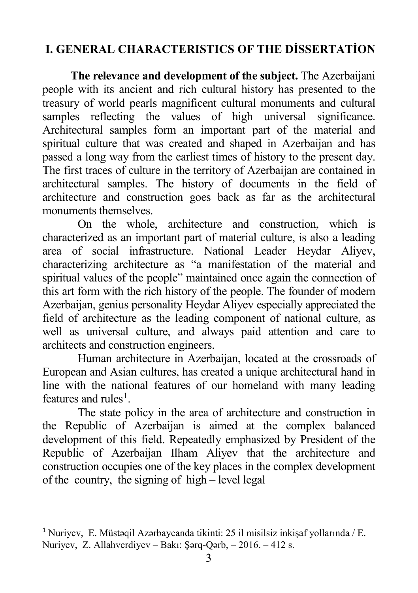# **I. GENERAL CHARACTERISTICS OF THE DİSSERTATİON**

**The relevance and development of the subject.** The Azerbaijani people with its ancient and rich cultural history has presented to the treasury of world pearls magnificent cultural monuments and cultural samples reflecting the values of high universal significance. Architectural samples form an important part of the material and spiritual culture that was created and shaped in Azerbaijan and has passed a long way from the earliest times of history to the present day. The first traces of culture in the territory of Azerbaijan are contained in architectural samples. The history of documents in the field of architecture and construction goes back as far as the architectural monuments themselves.

On the whole, architecture and construction, which is characterized as an important part of material culture, is also a leading area of social infrastructure. National Leader Heydar Aliyev, characterizing architecture as "a manifestation of the material and spiritual values of the people" maintained once again the connection of this art form with the rich history of the people. The founder of modern Azerbaijan, genius personality Heydar Aliyev especially appreciated the field of architecture as the leading component of national culture, as well as universal culture, and always paid attention and care to architects and construction engineers.

Human architecture in Azerbaijan, located at the crossroads of European and Asian cultures, has created a unique architectural hand in line with the national features of our homeland with many leading features and rules<sup>[1](#page-2-0)</sup>.

The state policy in the area of architecture and construction in the Republic of Azerbaijan is aimed at the complex balanced development of this field. Repeatedly emphasized by President of the Republic of Azerbaijan Ilham Aliyev that the architecture and construction occupies one of the key places in the complex development of the country, the signing of high – level legal

 $\overline{a}$ 

<span id="page-2-0"></span><sup>1</sup> Nuriyev, E. Müstəqil Azərbaycanda tikinti: 25 il misilsiz inkişaf yollarında / E. Nuriyev, Z. Allahverdiyev – Bakı: Şərq-Qərb, – 2016. – 412 s.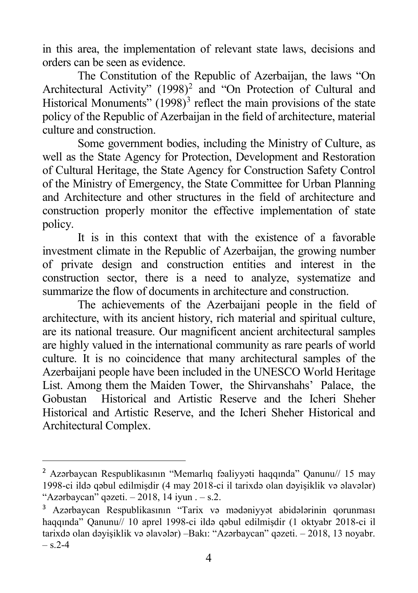in this area, the implementation of relevant state laws, decisions and orders can be seen as evidence.

The Constitution of the Republic of Azerbaijan, the laws "On Architectural Activity" (1998)<sup>[2](#page-3-0)</sup> and "On Protection of Cultural and Historical Monuments"  $(1998)^3$  $(1998)^3$  reflect the main provisions of the state policy of the Republic of Azerbaijan in the field of architecture, material culture and construction.

Some government bodies, including the Ministry of Culture, as well as the State Agency for Protection, Development and Restoration of Cultural Heritage, the State Agency for Construction Safety Control of the Ministry of Emergency, the State Committee for Urban Planning and Architecture and other structures in the field of architecture and construction properly monitor the effective implementation of state policy.

It is in this context that with the existence of a favorable investment climate in the Republic of Azerbaijan, the growing number of private design and construction entities and interest in the construction sector, there is a need to analyze, systematize and summarize the flow of documents in architecture and construction.

The achievements of the Azerbaijani people in the field of architecture, with its ancient history, rich material and spiritual culture, are its national treasure. Our magnificent ancient architectural samples are highly valued in the international community as rare pearls of world culture. It is no coincidence that many architectural samples of the Azerbaijani people have been included in the UNESCO World Heritage List. Among them the Maiden Tower, the Shirvanshahs' Palace, the Gobustan Historical and Artistic Reserve and the Icheri Sheher Historical and Artistic Reserve, and the Icheri Sheher Historical and Architectural Complex.

 $\overline{a}$ 

<span id="page-3-0"></span><sup>2</sup> Azərbaycan Respublikasının "Memarlıq fəaliyyəti haqqında" Qanunu// 15 may 1998-ci ildə qəbul edilmişdir (4 may 2018-ci il tarixdə olan dəyişiklik və əlavələr) "Azərbaycan" qəzeti.  $-2018$ , 14 iyun .  $-$  s.2.

<span id="page-3-1"></span><sup>3</sup> Azərbaycan Respublikasının "Tarix və mədəniyyət abidələrinin qorunması haqqında" Qanunu// 10 aprel 1998-ci ildə qəbul edilmişdir (1 oktyabr 2018-ci il tarixdə olan dəyişiklik və əlavələr) –Bakı: "Azərbaycan" qəzeti. – 2018, 13 noyabr.  $-$  s.2-4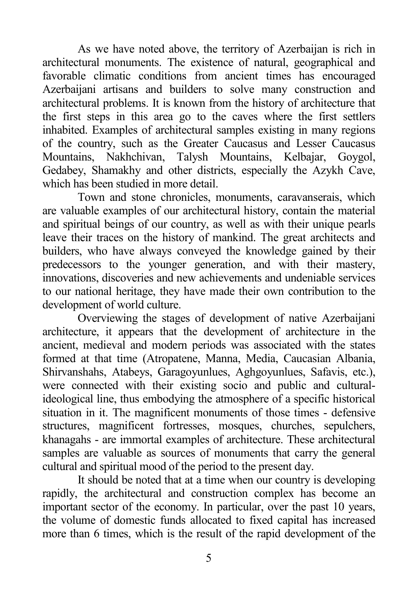As we have noted above, the territory of Azerbaijan is rich in architectural monuments. The existence of natural, geographical and favorable climatic conditions from ancient times has encouraged Azerbaijani artisans and builders to solve many construction and architectural problems. It is known from the history of architecture that the first steps in this area go to the caves where the first settlers inhabited. Examples of architectural samples existing in many regions of the country, such as the Greater Caucasus and Lesser Caucasus Mountains, Nakhchivan, Talysh Mountains, Kelbajar, Goygol, Gedabey, Shamakhy and other districts, especially the Azykh Cave, which has been studied in more detail.

Town and stone chronicles, monuments, caravanserais, which are valuable examples of our architectural history, contain the material and spiritual beings of our country, as well as with their unique pearls leave their traces on the history of mankind. The great architects and builders, who have always conveyed the knowledge gained by their predecessors to the younger generation, and with their mastery, innovations, discoveries and new achievements and undeniable services to our national heritage, they have made their own contribution to the development of world culture.

Overviewing the stages of development of native Azerbaijani architecture, it appears that the development of architecture in the ancient, medieval and modern periods was associated with the states formed at that time (Atropatene, Manna, Media, Caucasian Albania, Shirvanshahs, Atabeys, Garagoyunlues, Aghgoyunlues, Safavis, etc.), were connected with their existing socio and public and culturalideological line, thus embodying the atmosphere of a specific historical situation in it. The magnificent monuments of those times - defensive structures, magnificent fortresses, mosques, churches, sepulchers, khanagahs - are immortal examples of architecture. These architectural samples are valuable as sources of monuments that carry the general cultural and spiritual mood of the period to the present day.

It should be noted that at a time when our country is developing rapidly, the architectural and construction complex has become an important sector of the economy. In particular, over the past 10 years, the volume of domestic funds allocated to fixed capital has increased more than 6 times, which is the result of the rapid development of the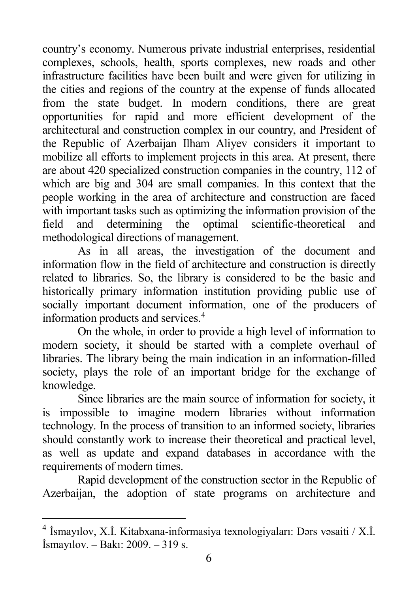country's economy. Numerous private industrial enterprises, residential complexes, schools, health, sports complexes, new roads and other infrastructure facilities have been built and were given for utilizing in the cities and regions of the country at the expense of funds allocated from the state budget. In modern conditions, there are great opportunities for rapid and more efficient development of the architectural and construction complex in our country, and President of the Republic of Azerbaijan Ilham Aliyev considers it important to mobilize all efforts to implement projects in this area. At present, there are about 420 specialized construction companies in the country, 112 of which are big and 304 are small companies. In this context that the people working in the area of architecture and construction are faced with important tasks such as optimizing the information provision of the field and determining the optimal scientific-theoretical and field and determining the optimal scientific-theoretical and methodological directions of management.

As in all areas, the investigation of the document and information flow in the field of architecture and construction is directly related to libraries. So, the library is considered to be the basic and historically primary information institution providing public use of socially important document information, one of the producers of information products and services. [4](#page-5-0)

On the whole, in order to provide a high level of information to modern society, it should be started with a complete overhaul of libraries. The library being the main indication in an information-filled society, plays the role of an important bridge for the exchange of knowledge.

Since libraries are the main source of information for society, it is impossible to imagine modern libraries without information technology. In the process of transition to an informed society, libraries should constantly work to increase their theoretical and practical level, as well as update and expand databases in accordance with the requirements of modern times.

Rapid development of the construction sector in the Republic of Azerbaijan, the adoption of state programs on architecture and

<span id="page-5-0"></span> <sup>4</sup> İsmayılov, X.İ. Kitabxana-informasiya texnologiyaları: Dərs vəsaiti / X.İ. İsmayılov. – Bakı: 2009. – 319 s.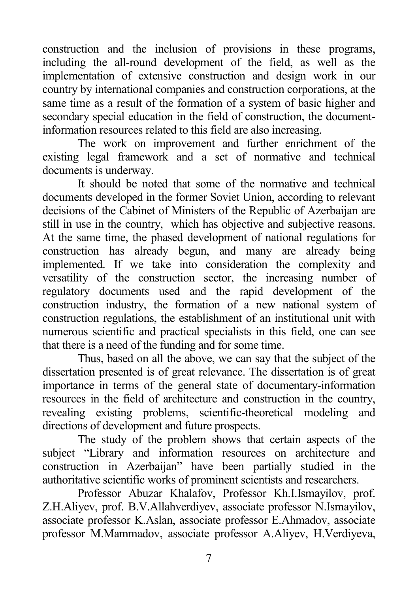construction and the inclusion of provisions in these programs, including the all-round development of the field, as well as the implementation of extensive construction and design work in our country by international companies and construction corporations, at the same time as a result of the formation of a system of basic higher and secondary special education in the field of construction, the documentinformation resources related to this field are also increasing.

The work on improvement and further enrichment of the existing legal framework and a set of normative and technical documents is underway.

It should be noted that some of the normative and technical documents developed in the former Soviet Union, according to relevant decisions of the Cabinet of Ministers of the Republic of Azerbaijan are still in use in the country, which has objective and subjective reasons. At the same time, the phased development of national regulations for construction has already begun, and many are already being implemented. If we take into consideration the complexity and versatility of the construction sector, the increasing number of regulatory documents used and the rapid development of the construction industry, the formation of a new national system of construction regulations, the establishment of an institutional unit with numerous scientific and practical specialists in this field, one can see that there is a need of the funding and for some time.

Thus, based on all the above, we can say that the subject of the dissertation presented is of great relevance. The dissertation is of great importance in terms of the general state of documentary-information resources in the field of architecture and construction in the country, revealing existing problems, scientific-theoretical modeling and directions of development and future prospects.

The study of the problem shows that certain aspects of the subject "Library and information resources on architecture and construction in Azerbaijan" have been partially studied in the authoritative scientific works of prominent scientists and researchers.

Professor Abuzar Khalafov, Professor Kh.I.Ismayilov, prof. Z.H.Aliyev, prof. B.V.Allahverdiyev, associate professor N.Ismayilov, associate professor K.Aslan, associate professor E.Ahmadov, associate professor M.Mammadov, associate professor A.Aliyev, H.Verdiyeva,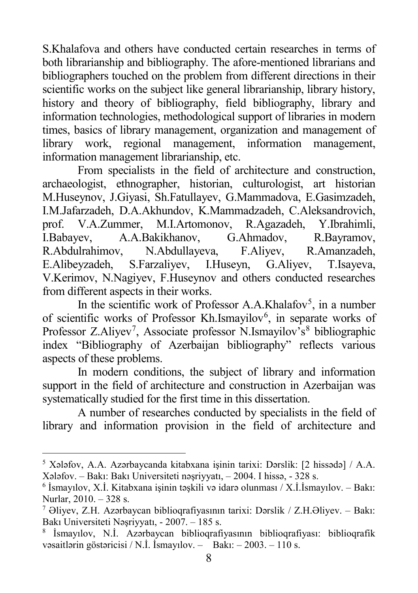S.Khalafova and others have conducted certain researches in terms of both librarianship and bibliography. The afore-mentioned librarians and bibliographers touched on the problem from different directions in their scientific works on the subject like general librarianship, library history, history and theory of bibliography, field bibliography, library and information technologies, methodological support of libraries in modern times, basics of library management, organization and management of library work, regional management, information management, information management librarianship, etc.

From specialists in the field of architecture and construction, archaeologist, ethnographer, historian, culturologist, art historian M.Huseynov, J.Giyasi, Sh.Fatullayev, G.Mammadova, E.Gasimzadeh, I.M.Jafarzadeh, D.A.Akhundov, K.Mammadzadeh, C.Aleksandrovich, prof. V.A.Zummer, M.I.Artomonov, R.Agazadeh, Y.Ibrahimli, I.Babayev, A.A.Bakikhanov, G.Ahmadov, R.Bayramov, I.Babayev, A.A.Bakikhanov, G.Ahmadov, R.Bayramov, R.Abdulrahimov, N.Abdullayeva, F.Aliyev, R.Amanzadeh, E.Alibeyzadeh, S.Farzaliyev, I.Huseyn, G.Aliyev, T.Isayeva, V.Kerimov, N.Nagiyev, F.Huseynov and others conducted researches from different aspects in their works.

In the scientific work of Professor A.A.Khalafov<sup>[5](#page-7-0)</sup>, in a number of scientific works of Professor Kh.Ismayilov<sup>[6](#page-7-1)</sup>, in separate works of Professor Z.Aliyev<sup>[7](#page-7-2)</sup>, Associate professor N.Ismayilov's<sup>[8](#page-7-3)</sup> bibliographic index "Bibliography of Azerbaijan bibliography" reflects various aspects of these problems.

In modern conditions, the subject of library and information support in the field of architecture and construction in Azerbaijan was systematically studied for the first time in this dissertation.

A number of researches conducted by specialists in the field of library and information provision in the field of architecture and

<span id="page-7-0"></span> <sup>5</sup> Xələfov, A.A. Azərbaycanda kitabxana işinin tarixi: Dərslik: [2 hissədə] / A.A. Xələfov. – Bakı: Bakı Universiteti nəşriyyatı, – 2004. I hissə, - 328 s.

<span id="page-7-1"></span><sup>6</sup> İsmayılov, X.İ. Kitabxana işinin təşkili və idarə olunması / X.İ.İsmayılov. – Bakı: Nurlar, 2010. – 328 s.

<span id="page-7-2"></span><sup>7</sup> Əliyev, Z.H. Azərbaycan biblioqrafiyasının tarixi: Dərslik / Z.H.Əliyev. – Bakı: Bakı Universiteti Nəşriyyatı, - 2007. – 185 s.

<span id="page-7-3"></span><sup>8</sup> İsmayılov, N.İ. Azərbaycan biblioqrafiyasının biblioqrafiyası: biblioqrafik vəsaitlərin göstəricisi / N.İ. İsmayılov. – Bakı: – 2003. – 110 s.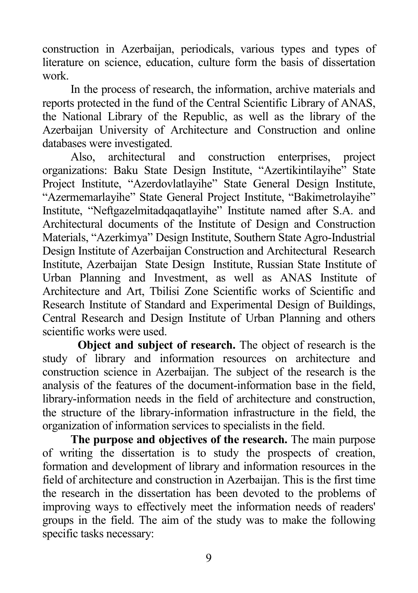construction in Azerbaijan, periodicals, various types and types of literature on science, education, culture form the basis of dissertation work.

In the process of research, the information, archive materials and reports protected in the fund of the Central Scientific Library of ANAS, the National Library of the Republic, as well as the library of the Azerbaijan University of Architecture and Construction and online databases were investigated.

Also, architectural and construction enterprises, project organizations: Baku State Design Institute, "Azertikintilayihe" State Project Institute, "Azerdovlatlayihe" State General Design Institute, "Azermemarlayihe" State General Project Institute, "Bakimetrolayihe" Institute, "Neftgazelmitadqaqatlayihe" Institute named after S.A. and Architectural documents of the Institute of Design and Construction Materials, "Azerkimya" Design Institute, Southern State Agro-Industrial Design Institute of Azerbaijan Construction and Architectural Research Institute, Azerbaijan State Design Institute, Russian State Institute of Urban Planning and Investment, as well as ANAS Institute of Architecture and Art, Tbilisi Zone Scientific works of Scientific and Research Institute of Standard and Experimental Design of Buildings, Central Research and Design Institute of Urban Planning and others scientific works were used.

**Object and subject of research.** The object of research is the study of library and information resources on architecture and construction science in Azerbaijan. The subject of the research is the analysis of the features of the document-information base in the field, library-information needs in the field of architecture and construction, the structure of the library-information infrastructure in the field, the organization of information services to specialists in the field.

**The purpose and objectives of the research.** The main purpose of writing the dissertation is to study the prospects of creation, formation and development of library and information resources in the field of architecture and construction in Azerbaijan. This is the first time the research in the dissertation has been devoted to the problems of improving ways to effectively meet the information needs of readers' groups in the field. The aim of the study was to make the following specific tasks necessary: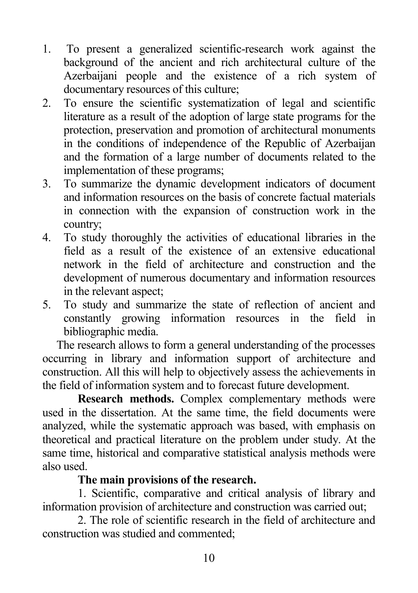- 1. To present a generalized scientific-research work against the background of the ancient and rich architectural culture of the Azerbaijani people and the existence of a rich system of documentary resources of this culture;
- 2. To ensure the scientific systematization of legal and scientific literature as a result of the adoption of large state programs for the protection, preservation and promotion of architectural monuments in the conditions of independence of the Republic of Azerbaijan and the formation of a large number of documents related to the implementation of these programs;
- 3. To summarize the dynamic development indicators of document and information resources on the basis of concrete factual materials in connection with the expansion of construction work in the country;
- 4. To study thoroughly the activities of educational libraries in the field as a result of the existence of an extensive educational network in the field of architecture and construction and the development of numerous documentary and information resources in the relevant aspect;
- 5. To study and summarize the state of reflection of ancient and constantly growing information resources in the field in bibliographic media.

The research allows to form a general understanding of the processes occurring in library and information support of architecture and construction. All this will help to objectively assess the achievements in the field of information system and to forecast future development.

**Research methods.** Complex complementary methods were used in the dissertation. At the same time, the field documents were analyzed, while the systematic approach was based, with emphasis on theoretical and practical literature on the problem under study. At the same time, historical and comparative statistical analysis methods were also used.

### **The main provisions of the research.**

1. Scientific, comparative and critical analysis of library and information provision of architecture and construction was carried out;

2. The role of scientific research in the field of architecture and construction was studied and commented;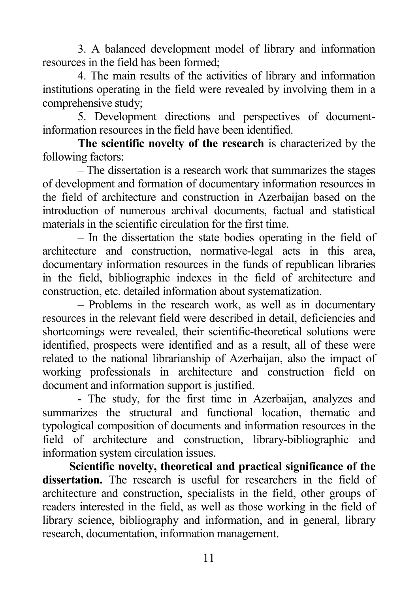3. A balanced development model of library and information resources in the field has been formed;

4. The main results of the activities of library and information institutions operating in the field were revealed by involving them in a comprehensive study;

5. Development directions and perspectives of documentinformation resources in the field have been identified.

**The scientific novelty of the research** is characterized by the following factors:

– The dissertation is a research work that summarizes the stages of development and formation of documentary information resources in the field of architecture and construction in Azerbaijan based on the introduction of numerous archival documents, factual and statistical materials in the scientific circulation for the first time.

– In the dissertation the state bodies operating in the field of architecture and construction, normative-legal acts in this area, documentary information resources in the funds of republican libraries in the field, bibliographic indexes in the field of architecture and construction, etc. detailed information about systematization.

– Problems in the research work, as well as in documentary resources in the relevant field were described in detail, deficiencies and shortcomings were revealed, their scientific-theoretical solutions were identified, prospects were identified and as a result, all of these were related to the national librarianship of Azerbaijan, also the impact of working professionals in architecture and construction field on document and information support is justified.

- The study, for the first time in Azerbaijan, analyzes and summarizes the structural and functional location, thematic and typological composition of documents and information resources in the field of architecture and construction, library-bibliographic and information system circulation issues.

**Scientific novelty, theoretical and practical significance of the dissertation.** The research is useful for researchers in the field of architecture and construction, specialists in the field, other groups of readers interested in the field, as well as those working in the field of library science, bibliography and information, and in general, library research, documentation, information management.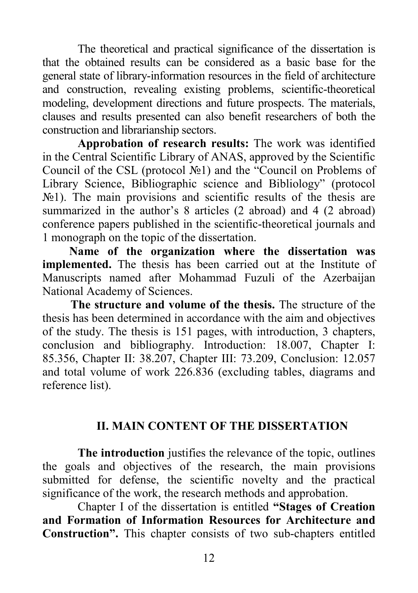The theoretical and practical significance of the dissertation is that the obtained results can be considered as a basic base for the general state of library-information resources in the field of architecture and construction, revealing existing problems, scientific-theoretical modeling, development directions and future prospects. The materials, clauses and results presented can also benefit researchers of both the construction and librarianship sectors.

**Approbation of research results:** The work was identified in the Central Scientific Library of ANAS, approved by the Scientific Council of the CSL (protocol №1) and the "Council on Problems of Library Science, Bibliographic science and Bibliology" (protocol  $\mathcal{N}_2$ 1). The main provisions and scientific results of the thesis are summarized in the author's 8 articles (2 abroad) and 4 (2 abroad) conference papers published in the scientific-theoretical journals and 1 monograph on the topic of the dissertation.

**Name of the organization where the dissertation was implemented.** The thesis has been carried out at the Institute of Manuscripts named after Mohammad Fuzuli of the Azerbaijan National Academy of Sciences.

**The structure and volume of the thesis.** The structure of the thesis has been determined in accordance with the aim and objectives of the study. The thesis is 151 pages, with introduction, 3 chapters, conclusion and bibliography. Introduction: 18.007, Chapter I: 85.356, Chapter II: 38.207, Chapter III: 73.209, Conclusion: 12.057 and total volume of work 226.836 (excluding tables, diagrams and reference list).

### **II. MAIN CONTENT OF THE DISSERTATION**

**The introduction** justifies the relevance of the topic, outlines the goals and objectives of the research, the main provisions submitted for defense, the scientific novelty and the practical significance of the work, the research methods and approbation.

Chapter I of the dissertation is entitled **"Stages of Creation and Formation of Information Resources for Architecture and Construction".** This chapter consists of two sub-chapters entitled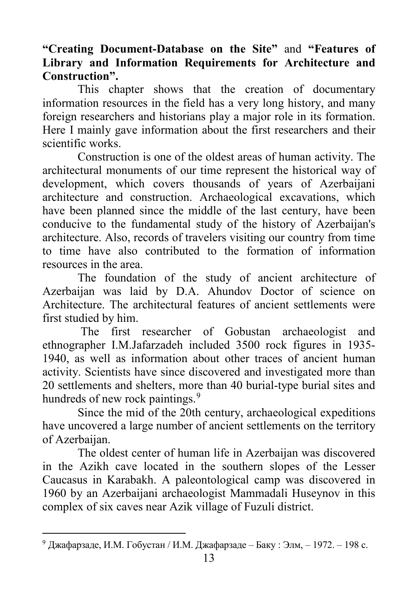### **"Creating Document-Database on the Site"** and **"Features of Library and Information Requirements for Architecture and Construction".**

This chapter shows that the creation of documentary information resources in the field has a very long history, and many foreign researchers and historians play a major role in its formation. Here I mainly gave information about the first researchers and their scientific works.

Construction is one of the oldest areas of human activity. The architectural monuments of our time represent the historical way of development, which covers thousands of years of Azerbaijani architecture and construction. Archaeological excavations, which have been planned since the middle of the last century, have been conducive to the fundamental study of the history of Azerbaijan's architecture. Also, records of travelers visiting our country from time to time have also contributed to the formation of information resources in the area.

The foundation of the study of ancient architecture of Azerbaijan was laid by D.A. Ahundov Doctor of science on Architecture. The architectural features of ancient settlements were first studied by him.

The first researcher of Gobustan archaeologist and ethnographer I.M.Jafarzadeh included 3500 rock figures in 1935- 1940, as well as information about other traces of ancient human activity. Scientists have since discovered and investigated more than 20 settlements and shelters, more than 40 burial-type burial sites and hundreds of new rock paintings.<sup>[9](#page-12-0)</sup>

Since the mid of the 20th century, archaeological expeditions have uncovered a large number of ancient settlements on the territory of Azerbaijan.

The oldest center of human life in Azerbaijan was discovered in the Azikh cave located in the southern slopes of the Lesser Caucasus in Karabakh. A paleontological camp was discovered in 1960 by an Azerbaijani archaeologist Mammadali Huseynov in this complex of six caves near Azik village of Fuzuli district.

<span id="page-12-0"></span> <sup>9</sup> Джафарзаде, И.М. Гобустан / И.М. Джафарзаде – Баку : Элм, – 1972. – 198 c.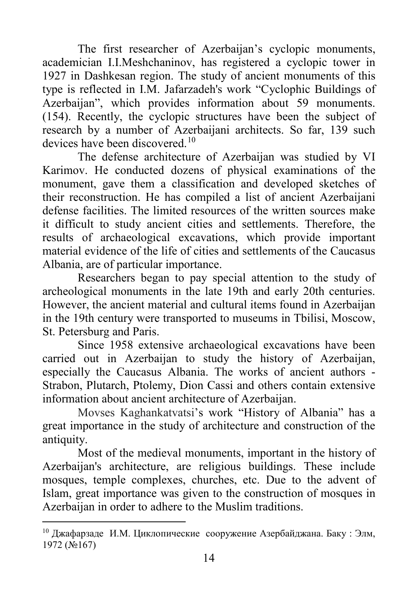The first researcher of Azerbaijan's cyclopic monuments, academician I.I.Meshchaninov, has registered a cyclopic tower in 1927 in Dashkesan region. The study of ancient monuments of this type is reflected in I.M. Jafarzadeh's work "Cyclophic Buildings of Azerbaijan", which provides information about 59 monuments. (154). Recently, the cyclopic structures have been the subject of research by a number of Azerbaijani architects. So far, 139 such devices have been discovered.[10](#page-13-0)

The defense architecture of Azerbaijan was studied by VI Karimov. He conducted dozens of physical examinations of the monument, gave them a classification and developed sketches of their reconstruction. He has compiled a list of ancient Azerbaijani defense facilities. The limited resources of the written sources make it difficult to study ancient cities and settlements. Therefore, the results of archaeological excavations, which provide important material evidence of the life of cities and settlements of the Caucasus Albania, are of particular importance.

Researchers began to pay special attention to the study of archeological monuments in the late 19th and early 20th centuries. However, the ancient material and cultural items found in Azerbaijan in the 19th century were transported to museums in Tbilisi, Moscow, St. Petersburg and Paris.

Since 1958 extensive archaeological excavations have been carried out in Azerbaijan to study the history of Azerbaijan, especially the Caucasus Albania. The works of ancient authors - Strabon, Plutarch, Ptolemy, Dion Cassi and others contain extensive information about ancient architecture of Azerbaijan.

Movses Kaghankatvatsi's work "History of Albania" has a great importance in the study of architecture and construction of the antiquity.

Most of the medieval monuments, important in the history of Azerbaijan's architecture, are religious buildings. These include mosques, temple complexes, churches, etc. Due to the advent of Islam, great importance was given to the construction of mosques in Azerbaijan in order to adhere to the Muslim traditions.

<span id="page-13-0"></span> <sup>10</sup> Джафарзаде И.М. Циклопические сооружение Азербайджана. Баку : Элм, 1972 (№167)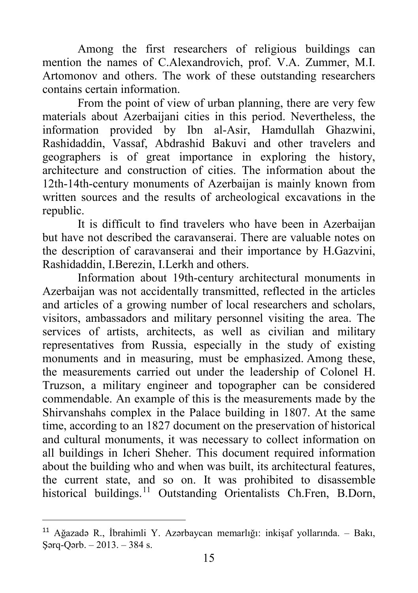Among the first researchers of religious buildings can mention the names of C.Alexandrovich, prof. V.A. Zummer, M.I. Artomonov and others. The work of these outstanding researchers contains certain information.

From the point of view of urban planning, there are very few materials about Azerbaijani cities in this period. Nevertheless, the information provided by Ibn al-Asir, Hamdullah Ghazwini, Rashidaddin, Vassaf, Abdrashid Bakuvi and other travelers and geographers is of great importance in exploring the history, architecture and construction of cities. The information about the 12th-14th-century monuments of Azerbaijan is mainly known from written sources and the results of archeological excavations in the republic.

It is difficult to find travelers who have been in Azerbaijan but have not described the caravanserai. There are valuable notes on the description of caravanserai and their importance by H.Gazvini, Rashidaddin, I.Berezin, I.Lerkh and others.

Information about 19th-century architectural monuments in Azerbaijan was not accidentally transmitted, reflected in the articles and articles of a growing number of local researchers and scholars, visitors, ambassadors and military personnel visiting the area. The services of artists, architects, as well as civilian and military representatives from Russia, especially in the study of existing monuments and in measuring, must be emphasized. Among these, the measurements carried out under the leadership of Colonel H. Truzson, a military engineer and topographer can be considered commendable. An example of this is the measurements made by the Shirvanshahs complex in the Palace building in 1807. At the same time, according to an 1827 document on the preservation of historical and cultural monuments, it was necessary to collect information on all buildings in Icheri Sheher. This document required information about the building who and when was built, its architectural features, the current state, and so on. It was prohibited to disassemble historical buildings.<sup>[11](#page-14-0)</sup> Outstanding Orientalists Ch.Fren, B.Dorn,

 $\overline{a}$ 

<span id="page-14-0"></span><sup>11</sup> Ağazadə R., İbrahimli Y. Azərbaycan memarlığı: inkişaf yollarında. – Bakı, Şərq-Qərb. – 2013. – 384 s.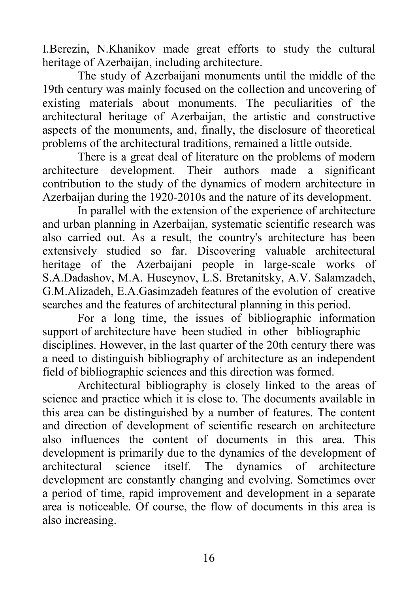I.Berezin, N.Khanikov made great efforts to study the cultural heritage of Azerbaijan, including architecture.

The study of Azerbaijani monuments until the middle of the 19th century was mainly focused on the collection and uncovering of existing materials about monuments. The peculiarities of the architectural heritage of Azerbaijan, the artistic and constructive aspects of the monuments, and, finally, the disclosure of theoretical problems of the architectural traditions, remained a little outside.

There is a great deal of literature on the problems of modern<br>cture development. Their authors made a significant architecture development. Their authors made a contribution to the study of the dynamics of modern architecture in Azerbaijan during the 1920-2010s and the nature of its development.

In parallel with the extension of the experience of architecture and urban planning in Azerbaijan, systematic scientific research was also carried out. As a result, the country's architecture has been extensively studied so far. Discovering valuable architectural heritage of the Azerbaijani people in large-scale works of S.A.Dadashov, M.A. Huseynov, L.S. Bretanitsky, A.V. Salamzadeh, G.M.Alizadeh, E.A.Gasimzadeh features of the evolution of creative searches and the features of architectural planning in this period.

For a long time, the issues of bibliographic information support of architecture have been studied in other bibliographic disciplines. However, in the last quarter of the 20th century there was a need to distinguish bibliography of architecture as an independent field of bibliographic sciences and this direction was formed.

Architectural bibliography is closely linked to the areas of science and practice which it is close to. The documents available in this area can be distinguished by a number of features. The content and direction of development of scientific research on architecture also influences the content of documents in this area. This development is primarily due to the dynamics of the development of architectural science itself. The dynamics of architecture development are constantly changing and evolving. Sometimes over a period of time, rapid improvement and development in a separate area is noticeable. Of course, the flow of documents in this area is also increasing.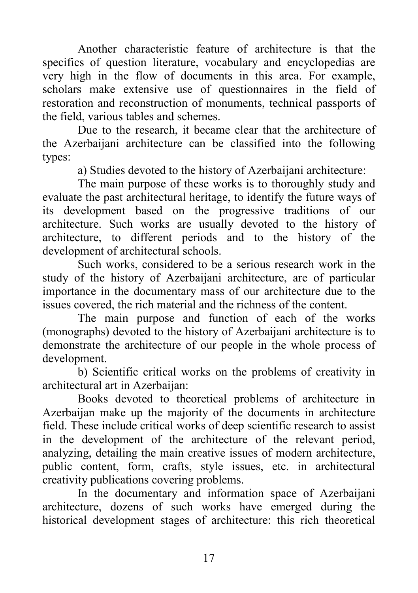Another characteristic feature of architecture is that the specifics of question literature, vocabulary and encyclopedias are very high in the flow of documents in this area. For example, scholars make extensive use of questionnaires in the field of restoration and reconstruction of monuments, technical passports of the field, various tables and schemes.

Due to the research, it became clear that the architecture of the Azerbaijani architecture can be classified into the following types:

a) Studies devoted to the history of Azerbaijani architecture:

The main purpose of these works is to thoroughly study and evaluate the past architectural heritage, to identify the future ways of its development based on the progressive traditions of our architecture. Such works are usually devoted to the history of architecture, to different periods and to the history of the development of architectural schools.

Such works, considered to be a serious research work in the study of the history of Azerbaijani architecture, are of particular importance in the documentary mass of our architecture due to the issues covered, the rich material and the richness of the content.

The main purpose and function of each of the works (monographs) devoted to the history of Azerbaijani architecture is to demonstrate the architecture of our people in the whole process of development.

b) Scientific critical works on the problems of creativity in architectural art in Azerbaijan:

Books devoted to theoretical problems of architecture in Azerbaijan make up the majority of the documents in architecture field. These include critical works of deep scientific research to assist in the development of the architecture of the relevant period, analyzing, detailing the main creative issues of modern architecture, public content, form, crafts, style issues, etc. in architectural creativity publications covering problems.

In the documentary and information space of Azerbaijani architecture, dozens of such works have emerged during the historical development stages of architecture: this rich theoretical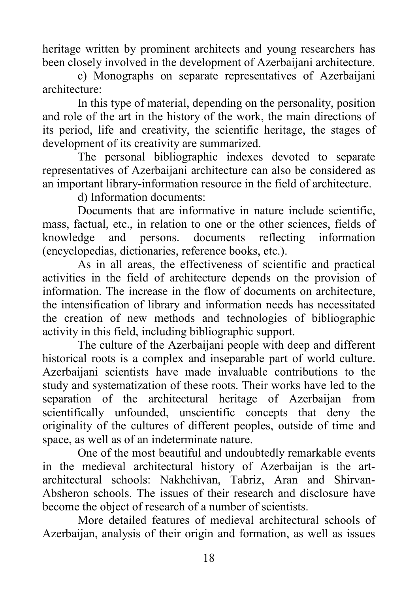heritage written by prominent architects and young researchers has been closely involved in the development of Azerbaijani architecture.

c) Monographs on separate representatives of Azerbaijani architecture:

In this type of material, depending on the personality, position and role of the art in the history of the work, the main directions of its period, life and creativity, the scientific heritage, the stages of development of its creativity are summarized.

The personal bibliographic indexes devoted to separate representatives of Azerbaijani architecture can also be considered as an important library-information resource in the field of architecture.

d) Information documents:

Documents that are informative in nature include scientific, mass, factual, etc., in relation to one or the other sciences, fields of knowledge and persons. documents reflecting information (encyclopedias, dictionaries, reference books, etc.).

As in all areas, the effectiveness of scientific and practical activities in the field of architecture depends on the provision of information. The increase in the flow of documents on architecture, the intensification of library and information needs has necessitated the creation of new methods and technologies of bibliographic activity in this field, including bibliographic support.

The culture of the Azerbaijani people with deep and different historical roots is a complex and inseparable part of world culture. Azerbaijani scientists have made invaluable contributions to the study and systematization of these roots. Their works have led to the separation of the architectural heritage of Azerbaijan from scientifically unfounded, unscientific concepts that deny the originality of the cultures of different peoples, outside of time and space, as well as of an indeterminate nature.

One of the most beautiful and undoubtedly remarkable events in the medieval architectural history of Azerbaijan is the artarchitectural schools: Nakhchivan, Tabriz, Aran and Shirvan-Absheron schools. The issues of their research and disclosure have become the object of research of a number of scientists.

More detailed features of medieval architectural schools of Azerbaijan, analysis of their origin and formation, as well as issues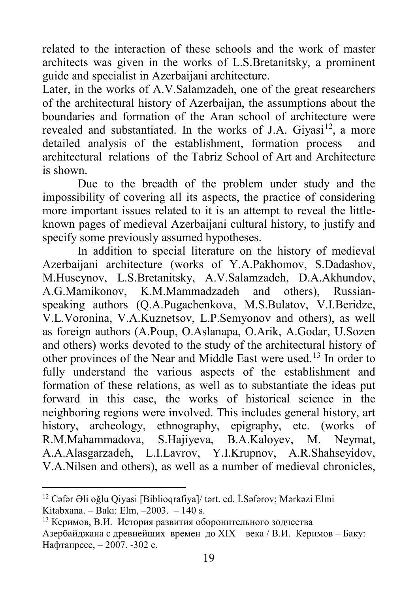related to the interaction of these schools and the work of master architects was given in the works of L.S.Bretanitsky, a prominent guide and specialist in Azerbaijani architecture.

Later, in the works of A.V.Salamzadeh, one of the great researchers of the architectural history of Azerbaijan, the assumptions about the boundaries and formation of the Aran school of architecture were revealed and substantiated. In the works of J.A. Givasi<sup>[12](#page-18-0)</sup>, a more detailed analysis of the establishment, formation process and architectural relations of the Tabriz School of Art and Architecture is shown.

Due to the breadth of the problem under study and the impossibility of covering all its aspects, the practice of considering more important issues related to it is an attempt to reveal the littleknown pages of medieval Azerbaijani cultural history, to justify and specify some previously assumed hypotheses.

In addition to special literature on the history of medieval Azerbaijani architecture (works of Y.A.Pakhomov, S.Dadashov, M.Huseynov, L.S.Bretanitsky, A.V.Salamzadeh, D.A.Akhundov, A.G.Mamikonov, K.M.Mammadzadeh and others), Russianspeaking authors (Q.A.Pugachenkova, M.S.Bulatov, V.I.Beridze, V.L.Voronina, V.A.Kuznetsov, L.P.Semyonov and others), as well as foreign authors (A.Poup, O.Aslanapa, O.Arik, A.Godar, U.Sozen and others) works devoted to the study of the architectural history of other provinces of the Near and Middle East were used.[13](#page-18-1) In order to fully understand the various aspects of the establishment and formation of these relations, as well as to substantiate the ideas put forward in this case, the works of historical science in the neighboring regions were involved. This includes general history, art history, archeology, ethnography, epigraphy, etc. (works of R.M.Mahammadova, S.Hajiyeva, B.A.Kaloyev, M. Neymat, A.A.Alasgarzadeh, L.I.Lavrov, Y.I.Krupnov, A.R.Shahseyidov, V.A.Nilsen and others), as well as a number of medieval chronicles,

<span id="page-18-0"></span> <sup>12</sup> Cəfər Əli oğlu Qiyasi [Biblioqrafiya]/ tərt. ed. İ.Səfərov; Mərkəzi Elmi Kitabxana. – Bakı: Elm, –2003. – 140 s.

<span id="page-18-1"></span><sup>13</sup> Керимов, В.И. История развития оборонительного зодчества Азербайджана с древнейших времен до XIX века / В.И. Керимов – Баку: Нафтапресс, – 2007. -302 с.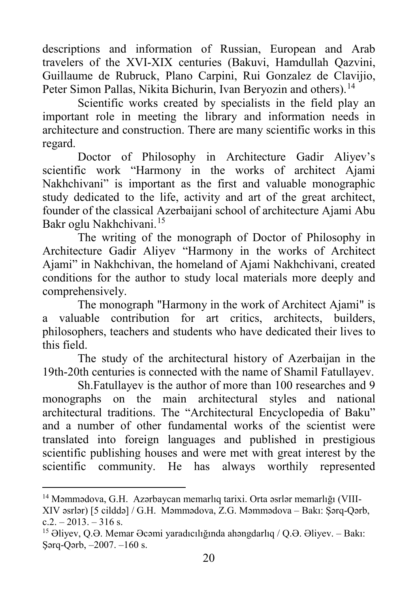descriptions and information of Russian, European and Arab travelers of the XVI-XIX centuries (Bakuvi, Hamdullah Qazvini, Guillaume de Rubruck, Plano Carpini, Rui Gonzalez de Clavijio, Peter Simon Pallas, Nikita Bichurin, Ivan Beryozin and others).<sup>[14](#page-19-0)</sup>

Scientific works created by specialists in the field play an important role in meeting the library and information needs in architecture and construction. There are many scientific works in this regard.

Doctor of Philosophy in Architecture Gadir Aliyev's scientific work "Harmony in the works of architect Ajami Nakhchivani" is important as the first and valuable monographic study dedicated to the life, activity and art of the great architect, founder of the classical Azerbaijani school of architecture Ajami Abu Bakr oglu Nakhchivani.[15](#page-19-1)

The writing of the monograph of Doctor of Philosophy in Architecture Gadir Aliyev "Harmony in the works of Architect Ajami" in Nakhchivan, the homeland of Ajami Nakhchivani, created conditions for the author to study local materials more deeply and comprehensively.

The monograph "Harmony in the work of Architect Ajami" is a valuable contribution for art critics, architects, builders, philosophers, teachers and students who have dedicated their lives to this field.

The study of the architectural history of Azerbaijan in the 19th-20th centuries is connected with the name of Shamil Fatullayev.

Sh.Fatullayev is the author of more than 100 researches and 9 monographs on the main architectural styles and national architectural traditions. The "Architectural Encyclopedia of Baku" and a number of other fundamental works of the scientist were translated into foreign languages and published in prestigious scientific publishing houses and were met with great interest by the scientific community. He has always worthily represented

<span id="page-19-0"></span> <sup>14</sup> Məmmədova, G.H. Azərbaycan memarlıq tarixi. Orta əsrlər memarlığı (VIII-XIV əsrlər) [5 cilddə] / G.H. Məmmədova, Z.G. Məmmədova – Bakı: Şərq-Qərb,  $c.2 - 2013 - 316$  s.

<span id="page-19-1"></span><sup>15</sup> Əliyev, Q.Ə. Memar Əcəmi yaradıcılığında ahəngdarlıq / Q.Ə. Əliyev. – Bakı: Şərq-Qərb, –2007. –160 s.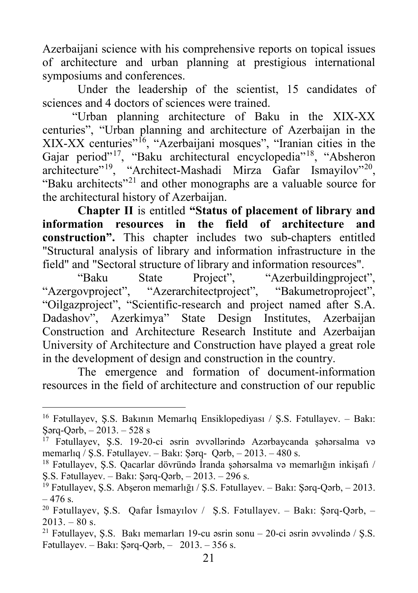Azerbaijani science with his comprehensive reports on topical issues of architecture and urban planning at prestigious international symposiums and conferences.

Under the leadership of the scientist, 15 candidates of sciences and 4 doctors of sciences were trained.

"Urban planning architecture of Baku in the XIX-XX centuries", "Urban planning and architecture of Azerbaijan in the XIX-XX centuries"[16](#page-20-0), "Azerbaijani mosques", "Iranian cities in the Gajar period"<sup>17</sup>, "Baku architectural encyclopedia"<sup>18</sup>, "Absheron architecture"<sup>[19](#page-20-3)</sup>, "Architect-Mashadi Mirza Gafar Ismayilov"<sup>[20](#page-20-4)</sup>, "Baku architects"[21](#page-20-5) and other monographs are a valuable source for the architectural history of Azerbaijan.

**Chapter II** is entitled **"Status of placement of library and information resources in the field of architecture and construction".** This chapter includes two sub-chapters entitled "Structural analysis of library and information infrastructure in the field" and "Sectoral structure of library and information resources".

"Baku State Project", "Azerbuildingproject", "Azergovproject", "Azerarchitectproject", "Bakumetroproject", "Oilgazproject", "Scientific-research and project named after S.A. Dadashov", Azerkimya" State Design Institutes, Azerbaijan Construction and Architecture Research Institute and Azerbaijan University of Architecture and Construction have played a great role in the development of design and construction in the country.

The emergence and formation of document-information resources in the field of architecture and construction of our republic

<span id="page-20-0"></span> <sup>16</sup> Fətullayev, Ş.S. Bakının Memarlıq Ensiklopediyası / Ş.S. Fətullayev. – Bakı: Şərq-Qərb, – 2013. – 528 s

<span id="page-20-1"></span><sup>&</sup>lt;sup>17</sup> Fətullayev, Ş.S. 19-20-ci əsrin əvvəllərində Azərbaycanda şəhərsalma və memarlıq / Ş.S. Fətullayev. – Bakı: Şərq- Qərb, – 2013. – 480 s.

<span id="page-20-2"></span><sup>18</sup> Fətullayev, Ş.S. Qacarlar dövründə İranda şəhərsalma və memarlığın inkişafı / Ş.S. Fətullayev. – Bakı: Şərq-Qərb, – 2013. – 296 s.

<span id="page-20-3"></span><sup>19</sup> Fətullayev, Ş.S. Abşeron memarlığı / Ş.S. Fətullayev. – Bakı: Şərq-Qərb, – 2013.  $-476$  s.

<span id="page-20-4"></span><sup>20</sup> Fətullayev, Ş.S. Qafar İsmayılov / Ş.S. Fətullayev. – Bakı: Şərq-Qərb, –  $2013. - 80$  s.

<span id="page-20-5"></span><sup>21</sup> Fətullayev, Ş.S. Bakı memarları 19-cu əsrin sonu – 20-ci əsrin əvvəlində / Ş.S. Fətullayev. – Bakı: Şərq-Qərb, –  $2013. - 356$  s.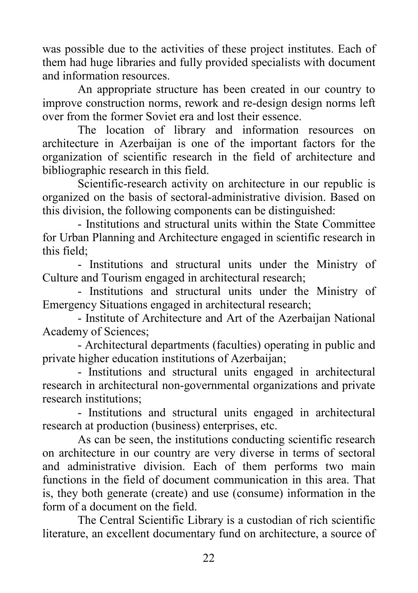was possible due to the activities of these project institutes. Each of them had huge libraries and fully provided specialists with document and information resources.

An appropriate structure has been created in our country to improve construction norms, rework and re-design design norms left over from the former Soviet era and lost their essence.

The location of library and information resources on architecture in Azerbaijan is one of the important factors for the organization of scientific research in the field of architecture and bibliographic research in this field.

Scientific-research activity on architecture in our republic is organized on the basis of sectoral-administrative division. Based on this division, the following components can be distinguished:

- Institutions and structural units within the State Committee for Urban Planning and Architecture engaged in scientific research in this field;

- Institutions and structural units under the Ministry of Culture and Tourism engaged in architectural research;

- Institutions and structural units under the Ministry of Emergency Situations engaged in architectural research;

- Institute of Architecture and Art of the Azerbaijan National Academy of Sciences;

- Architectural departments (faculties) operating in public and private higher education institutions of Azerbaijan;

- Institutions and structural units engaged in architectural research in architectural non-governmental organizations and private research institutions;

- Institutions and structural units engaged in architectural research at production (business) enterprises, etc.

As can be seen, the institutions conducting scientific research on architecture in our country are very diverse in terms of sectoral and administrative division. Each of them performs two main functions in the field of document communication in this area. That is, they both generate (create) and use (consume) information in the form of a document on the field.

The Central Scientific Library is a custodian of rich scientific literature, an excellent documentary fund on architecture, a source of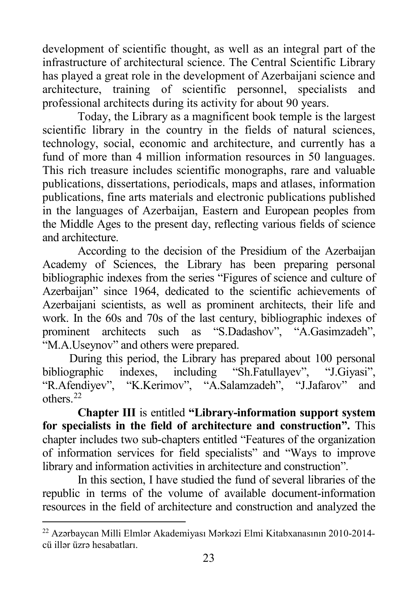development of scientific thought, as well as an integral part of the infrastructure of architectural science. The Central Scientific Library has played a great role in the development of Azerbaijani science and architecture, training of scientific personnel, specialists and professional architects during its activity for about 90 years.

Today, the Library as a magnificent book temple is the largest scientific library in the country in the fields of natural sciences, technology, social, economic and architecture, and currently has a fund of more than 4 million information resources in 50 languages. This rich treasure includes scientific monographs, rare and valuable publications, dissertations, periodicals, maps and atlases, information publications, fine arts materials and electronic publications published in the languages of Azerbaijan, Eastern and European peoples from the Middle Ages to the present day, reflecting various fields of science and architecture.

According to the decision of the Presidium of the Azerbaijan Academy of Sciences, the Library has been preparing personal bibliographic indexes from the series "Figures of science and culture of Azerbaijan" since 1964, dedicated to the scientific achievements of Azerbaijani scientists, as well as prominent architects, their life and work. In the 60s and 70s of the last century, bibliographic indexes of prominent architects such as "S.Dadashov", "A.Gasimzadeh", "M.A.Useynov" and others were prepared.

During this period, the Library has prepared about 100 personal bibliographic indexes, including "Sh.Fatullayev", "J.Giyasi", "R.Afendiyev", "K.Kerimov", "A.Salamzadeh", "J.Jafarov" and others.[22](#page-22-0)

**Chapter III** is entitled **"Library-information support system for specialists in the field of architecture and construction".** This chapter includes two sub-chapters entitled "Features of the organization of information services for field specialists" and "Ways to improve library and information activities in architecture and construction".

In this section, I have studied the fund of several libraries of the republic in terms of the volume of available document-information resources in the field of architecture and construction and analyzed the

<span id="page-22-0"></span> <sup>22</sup> <sup>A</sup>zərbaycan Milli Elmlər Akademiyası Mərkəzi Elmi Kitabxanasının 2010-2014 cü illər üzrə hesabatları.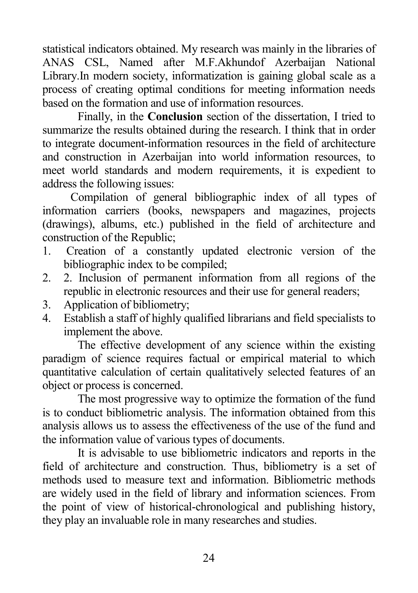statistical indicators obtained. My research was mainly in the libraries of ANAS CSL, Named after M.F.Akhundof Azerbaijan National Library.In modern society, informatization is gaining global scale as a process of creating optimal conditions for meeting information needs based on the formation and use of information resources.

Finally, in the **Conclusion** section of the dissertation, I tried to summarize the results obtained during the research. I think that in order to integrate document-information resources in the field of architecture and construction in Azerbaijan into world information resources, to meet world standards and modern requirements, it is expedient to address the following issues:

Compilation of general bibliographic index of all types of information carriers (books, newspapers and magazines, projects (drawings), albums, etc.) published in the field of architecture and construction of the Republic;

- 1. Creation of a constantly updated electronic version of the bibliographic index to be compiled;
- 2. 2. Inclusion of permanent information from all regions of the republic in electronic resources and their use for general readers;
- 3. Application of bibliometry;
- 4. Establish a staff of highly qualified librarians and field specialists to implement the above.

The effective development of any science within the existing paradigm of science requires factual or empirical material to which quantitative calculation of certain qualitatively selected features of an object or process is concerned.

The most progressive way to optimize the formation of the fund is to conduct bibliometric analysis. The information obtained from this analysis allows us to assess the effectiveness of the use of the fund and the information value of various types of documents.

It is advisable to use bibliometric indicators and reports in the field of architecture and construction. Thus, bibliometry is a set of methods used to measure text and information. Bibliometric methods are widely used in the field of library and information sciences. From the point of view of historical-chronological and publishing history, they play an invaluable role in many researches and studies.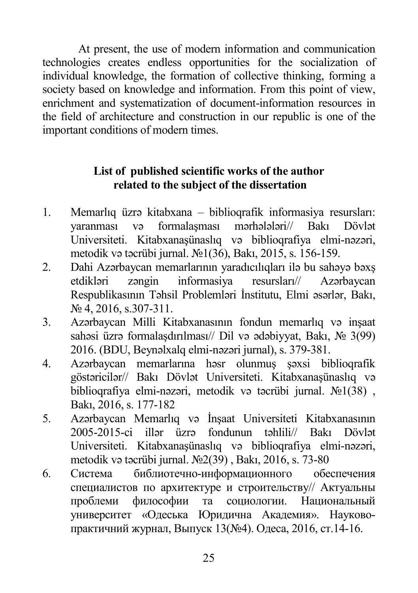At present, the use of modern information and communication technologies creates endless opportunities for the socialization of individual knowledge, the formation of collective thinking, forming a society based on knowledge and information. From this point of view, enrichment and systematization of document-information resources in the field of architecture and construction in our republic is one of the important conditions of modern times.

### **List of published scientific works of the author related to the subject of the dissertation**

- 1. Memarlıq üzrə kitabxana biblioqrafik informasiya resursları: yaranması və formalaşması mərhələləri// Bakı Dövlət Universiteti. Kitabxanaşünaslıq və biblioqrafiya elmi-nəzəri, metodik və təcrübi jurnal. №1(36), Bakı, 2015, s. 156-159.
- 2. Dahi Azərbaycan memarlarının yaradıcılıqları ilə bu sahəyə bəxş etdikləri zəngin informasiya resursları// Azərbaycan Respublikasının Təhsil Problemləri İnstitutu, Elmi əsərlər, Bakı, № 4, 2016, s.307-311.
- 3. Azərbaycan Milli Kitabxanasının fondun memarlıq və inşaat sahəsi üzrə formalaşdırılması// Dil və ədəbiyyat, Bakı, № 3(99) 2016. (BDU, Beynəlxalq elmi-nəzəri jurnal), s. 379-381.
- 4. Azərbaycan memarlarına həsr olunmuş şəxsi biblioqrafik göstəricilər// Bakı Dövlət Universiteti. Kitabxanaşünaslıq və biblioqrafiya elmi-nəzəri, metodik və təcrübi jurnal. №1(38) , Bakı, 2016, s. 177-182
- 5. Azərbaycan Memarlıq və İnşaat Universiteti Kitabxanasının 2005-2015-ci illər üzrə fondunun təhlili// Bakı Dövlət Universiteti. Kitabxanaşünaslıq və biblioqrafiya elmi-nəzəri, metodik və təcrübi jurnal. №2(39) , Bakı, 2016, s. 73-80
- 6. Система библиотечно-информационного обеспечения специалистов по архитектуре и строительству// Актуальны проблеми философии та социологии. Национальный университет «Одеська Юридична Академия». Науковопрактичний журнал, Выпуск 13(№4). Одеса, 2016, ст.14-16.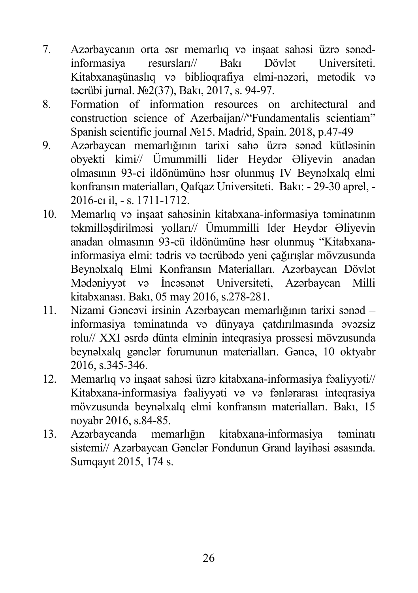- 7. Azərbaycanın orta əsr memarlıq və inşaat sahəsi üzrə sənədinformasiya resursları// Bakı Dövlət Universiteti. Kitabxanaşünaslıq və biblioqrafiya elmi-nəzəri, metodik və təcrübi jurnal. №2(37), Bakı, 2017, s. 94-97.
- 8. Formation of information resources on architectural and construction science of Azerbaijan//"Fundamentalis scientiam" Spanish scientific journal №15. Madrid, Spain. 2018, p.47-49
- 9. Azərbaycan memarlığının tarixi sahə üzrə sənəd kütləsinin obyekti kimi// Ümummilli lider Heydər Əliyevin anadan olmasının 93-ci ildönümünə həsr olunmuş IV Beynəlxalq elmi konfransın materialları, Qafqaz Universiteti. Bakı: - 29-30 aprel, - 2016-cı il, - s. 1711-1712.
- 10. Memarlıq və inşaat sahəsinin kitabxana-informasiya təminatının təkmilləşdirilməsi yolları// Ümummilli lder Heydər Əliyevin anadan olmasının 93-cü ildönümünə həsr olunmuş "Kitabxanainformasiya elmi: tədris və təcrübədə yeni çağırışlar mövzusunda Beynəlxalq Elmi Konfransın Materialları. Azərbaycan Dövlət Mədəniyyət və İncəsənət Universiteti, Azərbaycan Milli kitabxanası. Bakı, 05 may 2016, s.278-281.
- 11. Nizami Gəncəvi irsinin Azərbaycan memarlığının tarixi sənəd informasiya təminatında və dünyaya çatdırılmasında əvəzsiz rolu// XXI əsrdə dünta elminin inteqrasiya prossesi mövzusunda beynəlxalq gənclər forumunun materialları. Gəncə, 10 oktyabr 2016, s.345-346.
- 12. Memarlıq və inşaat sahəsi üzrə kitabxana-informasiya fəaliyyəti// Kitabxana-informasiya fəaliyyəti və və fənlərarası inteqrasiya mövzusunda beynəlxalq elmi konfransın materialları. Bakı, 15 noyabr 2016, s.84-85.
- 13. Azərbaycanda memarlığın kitabxana-informasiya təminatı sistemi// Azərbaycan Gənclər Fondunun Grand layihəsi əsasında. Sumqayıt 2015, 174 s.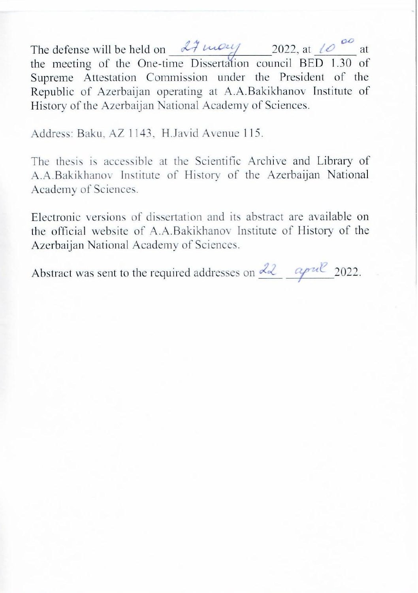e defense will be held on  $\frac{\partial \mathcal{A}}{\partial u}$   $\frac{\partial u}{\partial v}$  2022, at  $\frac{\partial u}{\partial v}$  at the meeting of the One-time Dissertation council BED 1.30 of Supreme Attestation Commission under the President of the Republic of Azerbaijan operating at A.A.Bakikhanov Institute of History of the Azerbaijan National Academy of Sciences.

Address: Baku, AZ 1143, H.Javid Avenue 115.

The thesis is accessible at the Scientific Archive and Library of A.A.Bakikhanov Institute of History of the Azerbaijan National Academy of Sciences.

Electronic versions of dissertation and its abstract are available on the official website of A.A.Bakikhanov Institute of History of the Azerbaijan National Academy of Sciences.

Abstract was sent to the required addresses on  $\frac{d\lambda}{d\lambda}$  april 2022.